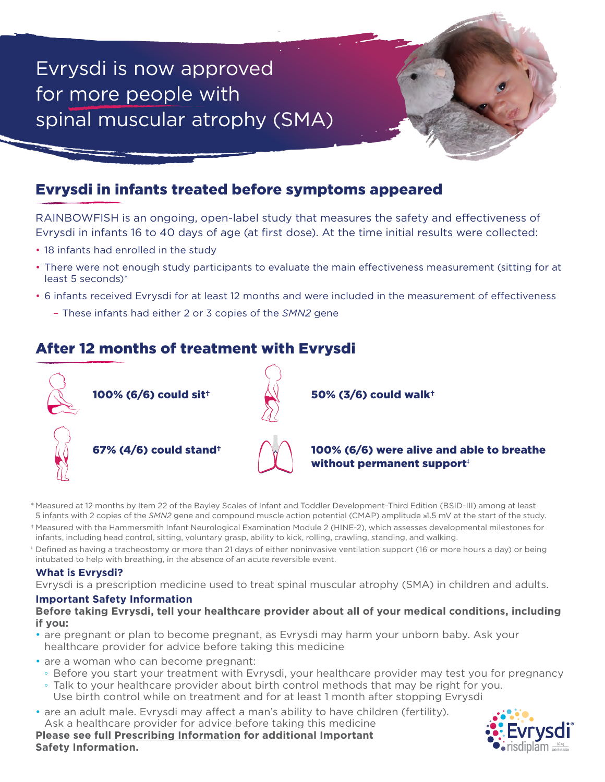## Evrysdi is now approved for more people with spinal muscular atrophy (SMA)

### Evrysdi in infants treated before symptoms appeared

RAINBOWFISH is an ongoing, open-label study that measures the safety and effectiveness of Evrysdi in infants 16 to 40 days of age (at first dose). At the time initial results were collected:

- 18 infants had enrolled in the study
- There were not enough study participants to evaluate the main effectiveness measurement (sitting for at least 5 seconds)\*
- 6 infants received Evrysdi for at least 12 months and were included in the measurement of effectiveness
	- These infants had either 2 or 3 copies of the *SMN2* gene

### After 12 months of treatment with Evrysdi



- \* Measured at 12 months by Item 22 of the Bayley Scales of Infant and Toddler Development–Third Edition (BSID-III) among at least 5 infants with 2 copies of the *SMN2* gene and compound muscle action potential (CMAP) amplitude ≥1.5 mV at the start of the study.
- † Measured with the Hammersmith Infant Neurological Examination Module 2 (HINE-2), which assesses developmental milestones for infants, including head control, sitting, voluntary grasp, ability to kick, rolling, crawling, standing, and walking.
- ‡ Defined as having a tracheostomy or more than 21 days of either noninvasive ventilation support (16 or more hours a day) or being intubated to help with breathing, in the absence of an acute reversible event.

### **What is Evrysdi?**

Evrysdi is a prescription medicine used to treat spinal muscular atrophy (SMA) in children and adults.

### **Important Safety Information**

### **Before taking Evrysdi, tell your healthcare provider about all of your medical conditions, including if you:**

- are pregnant or plan to become pregnant, as Evrysdi may harm your unborn baby. Ask your healthcare provider for advice before taking this medicine
- are a woman who can become pregnant:
- Before you start your treatment with Evrysdi, your healthcare provider may test you for pregnancy
- Talk to your healthcare provider about birth control methods that may be right for you. Use birth control while on treatment and for at least 1 month after stopping Evrysdi
- are an adult male. Evrysdi may affect a man's ability to have children (fertility).

Ask a healthcare provider for advice before taking this medicine **Please see full [Prescribing Information](https://www.gene.com/download/pdf/evrysdi_prescribing.pdf) for additional Important Safety Information.**